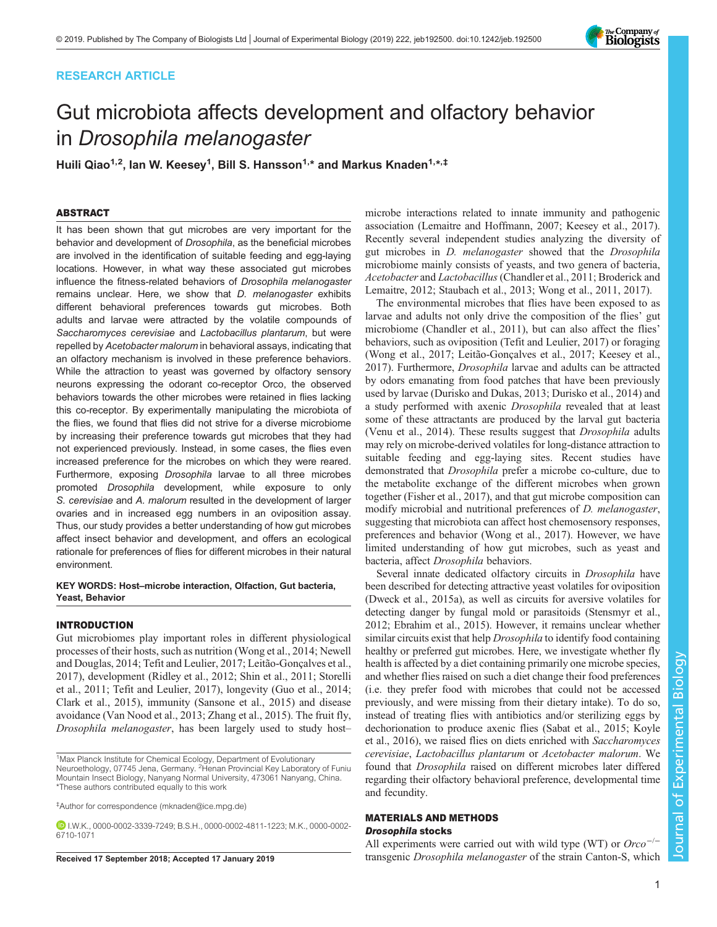# RESEARCH ARTICLE



# Gut microbiota affects development and olfactory behavior in Drosophila melanogaster

Huili Qiao<sup>1,2</sup>, Ian W. Keesey<sup>1</sup>, Bill S. Hansson<sup>1,</sup>\* and Markus Knaden<sup>1,</sup>\*,‡

# ABSTRACT

It has been shown that gut microbes are very important for the behavior and development of Drosophila, as the beneficial microbes are involved in the identification of suitable feeding and egg-laying locations. However, in what way these associated gut microbes influence the fitness-related behaviors of Drosophila melanogaster remains unclear. Here, we show that D. melanogaster exhibits different behavioral preferences towards gut microbes. Both adults and larvae were attracted by the volatile compounds of Saccharomyces cerevisiae and Lactobacillus plantarum, but were repelled by Acetobacter malorum in behavioral assays, indicating that an olfactory mechanism is involved in these preference behaviors. While the attraction to yeast was governed by olfactory sensory neurons expressing the odorant co-receptor Orco, the observed behaviors towards the other microbes were retained in flies lacking this co-receptor. By experimentally manipulating the microbiota of the flies, we found that flies did not strive for a diverse microbiome by increasing their preference towards gut microbes that they had not experienced previously. Instead, in some cases, the flies even increased preference for the microbes on which they were reared. Furthermore, exposing Drosophila larvae to all three microbes promoted Drosophila development, while exposure to only S. cerevisiae and A. malorum resulted in the development of larger ovaries and in increased egg numbers in an oviposition assay. Thus, our study provides a better understanding of how gut microbes affect insect behavior and development, and offers an ecological rationale for preferences of flies for different microbes in their natural environment.

## KEY WORDS: Host–microbe interaction, Olfaction, Gut bacteria, Yeast, Behavior

# INTRODUCTION

Gut microbiomes play important roles in different physiological processes of their hosts, such as nutrition ([Wong et al., 2014; Newell](#page-9-0) [and Douglas, 2014; Tefit and Leulier, 2017](#page-9-0); [Leitão-Gonçalves et al.,](#page-9-0) [2017](#page-9-0)), development ([Ridley et al., 2012; Shin et al., 2011](#page-9-0); [Storelli](#page-9-0) [et al., 2011](#page-9-0); [Tefit and Leulier, 2017](#page-9-0)), longevity [\(Guo et al., 2014](#page-9-0); [Clark et al., 2015\)](#page-8-0), immunity [\(Sansone et al., 2015\)](#page-9-0) and disease avoidance ([Van Nood et al., 2013; Zhang et al., 2015](#page-9-0)). The fruit fly, Drosophila melanogaster, has been largely used to study host–

‡ Author for correspondence ([mknaden@ice.mpg.de\)](mailto:mknaden@ice.mpg.de)

microbe interactions related to innate immunity and pathogenic association [\(Lemaitre and Hoffmann, 2007; Keesey et al., 2017\)](#page-9-0). Recently several independent studies analyzing the diversity of gut microbes in *D. melanogaster* showed that the *Drosophila* microbiome mainly consists of yeasts, and two genera of bacteria, Acetobacter and Lactobacillus([Chandler et al., 2011; Broderick and](#page-8-0) [Lemaitre, 2012;](#page-8-0) [Staubach et al., 2013; Wong et al., 2011, 2017\)](#page-9-0).

The environmental microbes that flies have been exposed to as larvae and adults not only drive the composition of the flies' gut microbiome ([Chandler et al., 2011\)](#page-8-0), but can also affect the flies' behaviors, such as oviposition [\(Tefit and Leulier, 2017\)](#page-9-0) or foraging [\(Wong et al., 2017](#page-9-0); [Leitão-Gonçalves et al., 2017; Keesey et al.,](#page-9-0) [2017\)](#page-9-0). Furthermore, Drosophila larvae and adults can be attracted by odors emanating from food patches that have been previously used by larvae [\(Durisko and Dukas, 2013; Durisko et al., 2014](#page-9-0)) and a study performed with axenic Drosophila revealed that at least some of these attractants are produced by the larval gut bacteria [\(Venu et al., 2014](#page-9-0)). These results suggest that *Drosophila* adults may rely on microbe-derived volatiles for long-distance attraction to suitable feeding and egg-laying sites. Recent studies have demonstrated that Drosophila prefer a microbe co-culture, due to the metabolite exchange of the different microbes when grown together [\(Fisher et al., 2017](#page-9-0)), and that gut microbe composition can modify microbial and nutritional preferences of *D. melanogaster*, suggesting that microbiota can affect host chemosensory responses, preferences and behavior [\(Wong et al., 2017](#page-9-0)). However, we have limited understanding of how gut microbes, such as yeast and bacteria, affect Drosophila behaviors.

Several innate dedicated olfactory circuits in *Drosophila* have been described for detecting attractive yeast volatiles for oviposition [\(Dweck et al., 2015a\)](#page-9-0), as well as circuits for aversive volatiles for detecting danger by fungal mold or parasitoids ([Stensmyr et al.,](#page-9-0) [2012; Ebrahim et al., 2015\)](#page-9-0). However, it remains unclear whether similar circuits exist that help *Drosophila* to identify food containing healthy or preferred gut microbes. Here, we investigate whether fly health is affected by a diet containing primarily one microbe species, and whether flies raised on such a diet change their food preferences (i.e. they prefer food with microbes that could not be accessed previously, and were missing from their dietary intake). To do so, instead of treating flies with antibiotics and/or sterilizing eggs by dechorionation to produce axenic flies ([Sabat et al., 2015; Koyle](#page-9-0) [et al., 2016](#page-9-0)), we raised flies on diets enriched with Saccharomyces cerevisiae, Lactobacillus plantarum or Acetobacter malorum. We found that Drosophila raised on different microbes later differed regarding their olfactory behavioral preference, developmental time and fecundity.

# MATERIALS AND METHODS Drosophila stocks

All experiments were carried out with wild type (WT) or Orco Received 17 September 2018; Accepted 17 January 2019 transgenic *Drosophila melanogaster* of the strain Canton-S, which

<sup>&</sup>lt;sup>1</sup>Max Planck Institute for Chemical Ecology, Department of Evolutionary Neuroethology, 07745 Jena, Germany. <sup>2</sup>Henan Provincial Key Laboratory of Funiu Mountain Insect Biology, Nanyang Normal University, 473061 Nanyang, China. \*These authors contributed equally to this work

I.W.K., [0000-0002-3339-7249](http://orcid.org/0000-0002-3339-7249); B.S.H., [0000-0002-4811-1223](http://orcid.org/0000-0002-4811-1223); M.K., [0000-0002-](http://orcid.org/0000-0002-6710-1071) [6710-1071](http://orcid.org/0000-0002-6710-1071)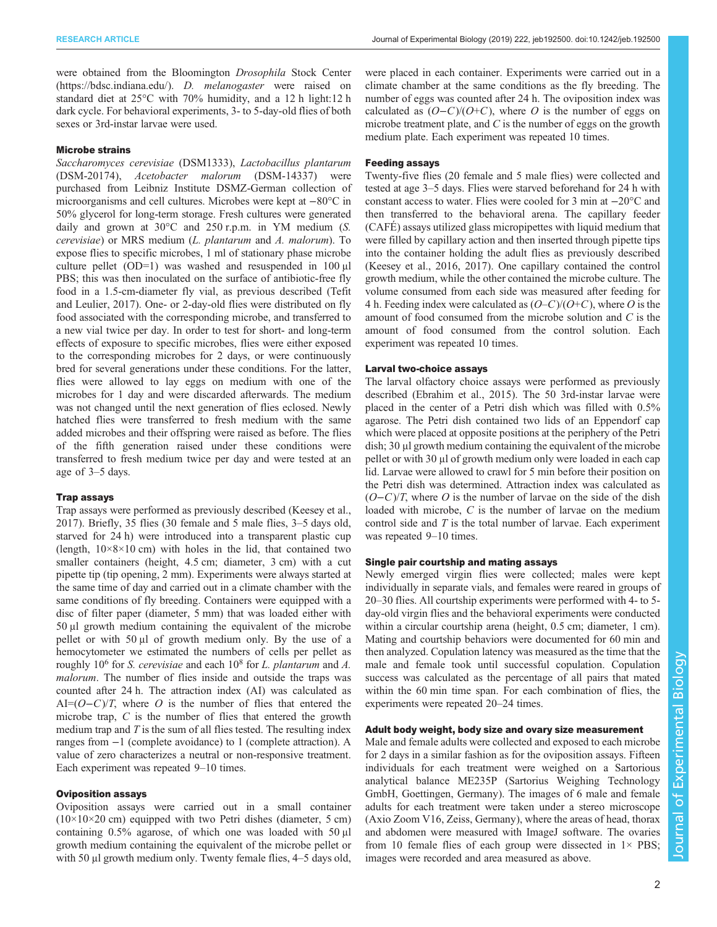were obtained from the Bloomington Drosophila Stock Center [\(https://bdsc.indiana.edu/](https://bdsc.indiana.edu/)). D. melanogaster were raised on standard diet at 25°C with 70% humidity, and a 12 h light:12 h dark cycle. For behavioral experiments, 3- to 5-day-old flies of both sexes or 3rd-instar larvae were used.

## Microbe strains

Saccharomyces cerevisiae (DSM1333), Lactobacillus plantarum (DSM-20174), Acetobacter malorum (DSM-14337) were purchased from Leibniz Institute DSMZ-German collection of microorganisms and cell cultures. Microbes were kept at −80°C in 50% glycerol for long-term storage. Fresh cultures were generated daily and grown at 30°C and 250 r.p.m. in YM medium (S. cerevisiae) or MRS medium (L. plantarum and A. malorum). To expose flies to specific microbes, 1 ml of stationary phase microbe culture pellet (OD=1) was washed and resuspended in 100 μl PBS; this was then inoculated on the surface of antibiotic-free fly food in a 1.5-cm-diameter fly vial, as previous described [\(Tefit](#page-9-0) [and Leulier, 2017\)](#page-9-0). One- or 2-day-old flies were distributed on fly food associated with the corresponding microbe, and transferred to a new vial twice per day. In order to test for short- and long-term effects of exposure to specific microbes, flies were either exposed to the corresponding microbes for 2 days, or were continuously bred for several generations under these conditions. For the latter, flies were allowed to lay eggs on medium with one of the microbes for 1 day and were discarded afterwards. The medium was not changed until the next generation of flies eclosed. Newly hatched flies were transferred to fresh medium with the same added microbes and their offspring were raised as before. The flies of the fifth generation raised under these conditions were transferred to fresh medium twice per day and were tested at an age of 3–5 days.

#### Trap assays

Trap assays were performed as previously described ([Keesey et al.,](#page-9-0) [2017](#page-9-0)). Briefly, 35 flies (30 female and 5 male flies, 3–5 days old, starved for 24 h) were introduced into a transparent plastic cup (length,  $10\times8\times10$  cm) with holes in the lid, that contained two smaller containers (height, 4.5 cm; diameter, 3 cm) with a cut pipette tip (tip opening, 2 mm). Experiments were always started at the same time of day and carried out in a climate chamber with the same conditions of fly breeding. Containers were equipped with a disc of filter paper (diameter, 5 mm) that was loaded either with 50 μl growth medium containing the equivalent of the microbe pellet or with 50 μl of growth medium only. By the use of a hemocytometer we estimated the numbers of cells per pellet as roughly 10<sup>6</sup> for *S. cerevisiae* and each 10<sup>8</sup> for *L. plantarum* and *A.* malorum. The number of flies inside and outside the traps was counted after 24 h. The attraction index (AI) was calculated as AI= $(O-C)/T$ , where O is the number of flies that entered the microbe trap, C is the number of flies that entered the growth medium trap and  $T$  is the sum of all flies tested. The resulting index ranges from −1 (complete avoidance) to 1 (complete attraction). A value of zero characterizes a neutral or non-responsive treatment. Each experiment was repeated 9–10 times.

## Oviposition assays

Oviposition assays were carried out in a small container  $(10\times10\times20$  cm) equipped with two Petri dishes (diameter, 5 cm) containing 0.5% agarose, of which one was loaded with 50 μl growth medium containing the equivalent of the microbe pellet or with 50 μl growth medium only. Twenty female flies, 4–5 days old, were placed in each container. Experiments were carried out in a climate chamber at the same conditions as the fly breeding. The number of eggs was counted after 24 h. The oviposition index was calculated as  $(O-C)/(O+C)$ , where O is the number of eggs on microbe treatment plate, and  $C$  is the number of eggs on the growth medium plate. Each experiment was repeated 10 times.

### Feeding assays

Twenty-five flies (20 female and 5 male flies) were collected and tested at age 3–5 days. Flies were starved beforehand for 24 h with constant access to water. Flies were cooled for 3 min at −20°C and then transferred to the behavioral arena. The capillary feeder (CAFÉ) assays utilized glass micropipettes with liquid medium that were filled by capillary action and then inserted through pipette tips into the container holding the adult flies as previously described [\(Keesey et al., 2016](#page-9-0), [2017](#page-9-0)). One capillary contained the control growth medium, while the other contained the microbe culture. The volume consumed from each side was measured after feeding for 4 h. Feeding index were calculated as  $(O-C)/(O+C)$ , where O is the amount of food consumed from the microbe solution and C is the amount of food consumed from the control solution. Each experiment was repeated 10 times.

## Larval two-choice assays

The larval olfactory choice assays were performed as previously described [\(Ebrahim et al., 2015\)](#page-9-0). The 50 3rd-instar larvae were placed in the center of a Petri dish which was filled with 0.5% agarose. The Petri dish contained two lids of an Eppendorf cap which were placed at opposite positions at the periphery of the Petri dish; 30 μl growth medium containing the equivalent of the microbe pellet or with 30 μl of growth medium only were loaded in each cap lid. Larvae were allowed to crawl for 5 min before their position on the Petri dish was determined. Attraction index was calculated as  $(O-C)/T$ , where O is the number of larvae on the side of the dish loaded with microbe, C is the number of larvae on the medium control side and  $T$  is the total number of larvae. Each experiment was repeated 9–10 times.

#### Single pair courtship and mating assays

Newly emerged virgin flies were collected; males were kept individually in separate vials, and females were reared in groups of 20–30 flies. All courtship experiments were performed with 4- to 5 day-old virgin flies and the behavioral experiments were conducted within a circular courtship arena (height,  $0.5$  cm; diameter, 1 cm). Mating and courtship behaviors were documented for 60 min and then analyzed. Copulation latency was measured as the time that the male and female took until successful copulation. Copulation success was calculated as the percentage of all pairs that mated within the 60 min time span. For each combination of flies, the experiments were repeated 20–24 times.

# Adult body weight, body size and ovary size measurement

Male and female adults were collected and exposed to each microbe for 2 days in a similar fashion as for the oviposition assays. Fifteen individuals for each treatment were weighed on a Sartorious analytical balance ME235P (Sartorius Weighing Technology GmbH, Goettingen, Germany). The images of 6 male and female adults for each treatment were taken under a stereo microscope (Axio Zoom V16, Zeiss, Germany), where the areas of head, thorax and abdomen were measured with ImageJ software. The ovaries from 10 female flies of each group were dissected in  $1\times$  PBS; images were recorded and area measured as above.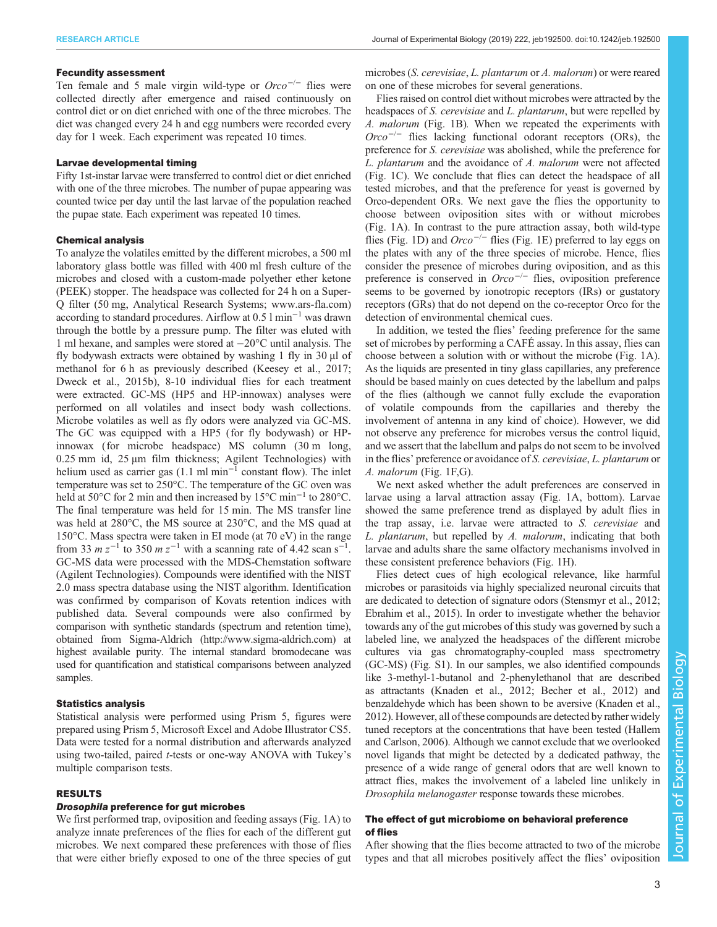#### Fecundity assessment

Ten female and 5 male virgin wild-type or  $Orco^{-/-}$  flies were collected directly after emergence and raised continuously on control diet or on diet enriched with one of the three microbes. The diet was changed every 24 h and egg numbers were recorded every day for 1 week. Each experiment was repeated 10 times.

## Larvae developmental timing

Fifty 1st-instar larvae were transferred to control diet or diet enriched with one of the three microbes. The number of pupae appearing was counted twice per day until the last larvae of the population reached the pupae state. Each experiment was repeated 10 times.

#### Chemical analysis

To analyze the volatiles emitted by the different microbes, a 500 ml laboratory glass bottle was filled with 400 ml fresh culture of the microbes and closed with a custom-made polyether ether ketone (PEEK) stopper. The headspace was collected for 24 h on a Super-Q filter (50 mg, Analytical Research Systems; [www.ars-fla.com\)](http://www.ars-fla.com) according to standard procedures. Airflow at 0.5 l min−<sup>1</sup> was drawn through the bottle by a pressure pump. The filter was eluted with 1 ml hexane, and samples were stored at −20°C until analysis. The fly bodywash extracts were obtained by washing 1 fly in 30 µl of methanol for 6 h as previously described [\(Keesey et al., 2017](#page-9-0); [Dweck et al., 2015b\)](#page-9-0), 8-10 individual flies for each treatment were extracted. GC-MS (HP5 and HP-innowax) analyses were performed on all volatiles and insect body wash collections. Microbe volatiles as well as fly odors were analyzed via GC-MS. The GC was equipped with a HP5 (for fly bodywash) or HPinnowax (for microbe headspace) MS column (30 m long, 0.25 mm id, 25 μm film thickness; Agilent Technologies) with helium used as carrier gas (1.1 ml min<sup>-1</sup> constant flow). The inlet temperature was set to 250°C. The temperature of the GC oven was held at 50°C for 2 min and then increased by 15°C min−<sup>1</sup> to 280°C. The final temperature was held for 15 min. The MS transfer line was held at 280°C, the MS source at 230°C, and the MS quad at 150°C. Mass spectra were taken in EI mode (at 70 eV) in the range from 33  $m z^{-1}$  to 350  $m z^{-1}$  with a scanning rate of 4.42 scan s<sup>-1</sup>.<br>GC-MS data were processed with the MDS-Chemetation software GC-MS data were processed with the MDS-Chemstation software (Agilent Technologies). Compounds were identified with the NIST 2.0 mass spectra database using the NIST algorithm. Identification was confirmed by comparison of Kovats retention indices with published data. Several compounds were also confirmed by comparison with synthetic standards (spectrum and retention time), obtained from Sigma-Aldrich [\(http://www.sigma-aldrich.com\)](http://www.sigma-aldrich.com) at highest available purity. The internal standard bromodecane was used for quantification and statistical comparisons between analyzed samples.

#### Statistics analysis

Statistical analysis were performed using Prism 5, figures were prepared using Prism 5, Microsoft Excel and Adobe Illustrator CS5. Data were tested for a normal distribution and afterwards analyzed using two-tailed, paired t-tests or one-way ANOVA with Tukey'<sup>s</sup> multiple comparison tests.

#### RESULTS

## Drosophila preference for gut microbes

We first performed trap, oviposition and feeding assays ([Fig. 1A](#page-3-0)) to analyze innate preferences of the flies for each of the different gut microbes. We next compared these preferences with those of flies that were either briefly exposed to one of the three species of gut microbes (S. cerevisiae, L. plantarum or A. malorum) or were reared on one of these microbes for several generations.

Flies raised on control diet without microbes were attracted by the headspaces of S. cerevisiae and L. plantarum, but were repelled by A. malorum [\(Fig. 1](#page-3-0)B). When we repeated the experiments with  $Orco^{-/-}$  flies lacking functional odorant receptors (ORs), the preference for S. cerevisiae was abolished, while the preference for L. plantarum and the avoidance of A. malorum were not affected [\(Fig. 1](#page-3-0)C). We conclude that flies can detect the headspace of all tested microbes, and that the preference for yeast is governed by Orco-dependent ORs. We next gave the flies the opportunity to choose between oviposition sites with or without microbes [\(Fig. 1](#page-3-0)A). In contrast to the pure attraction assay, both wild-type flies ([Fig. 1](#page-3-0)D) and  $Orco^{-/-}$  flies ([Fig. 1E](#page-3-0)) preferred to lay eggs on the plates with any of the three species of microbe. Hence, flies consider the presence of microbes during oviposition, and as this preference is conserved in  $Orco^{-/-}$  flies, oviposition preference seems to be governed by ionotropic receptors (IRs) or gustatory receptors (GRs) that do not depend on the co-receptor Orco for the detection of environmental chemical cues.

In addition, we tested the flies' feeding preference for the same set of microbes by performing a CAFÉ assay. In this assay, flies can choose between a solution with or without the microbe [\(Fig. 1A](#page-3-0)). As the liquids are presented in tiny glass capillaries, any preference should be based mainly on cues detected by the labellum and palps of the flies (although we cannot fully exclude the evaporation of volatile compounds from the capillaries and thereby the involvement of antenna in any kind of choice). However, we did not observe any preference for microbes versus the control liquid, and we assert that the labellum and palps do not seem to be involved in the flies' preference or avoidance of S. cerevisiae, L. plantarum or A. malorum ([Fig. 1](#page-3-0)F,G).

We next asked whether the adult preferences are conserved in larvae using a larval attraction assay [\(Fig. 1](#page-3-0)A, bottom). Larvae showed the same preference trend as displayed by adult flies in the trap assay, i.e. larvae were attracted to S. cerevisiae and L. plantarum, but repelled by A. malorum, indicating that both larvae and adults share the same olfactory mechanisms involved in these consistent preference behaviors [\(Fig. 1H](#page-3-0)).

Flies detect cues of high ecological relevance, like harmful microbes or parasitoids via highly specialized neuronal circuits that are dedicated to detection of signature odors [\(Stensmyr et al., 2012](#page-9-0); [Ebrahim et al., 2015\)](#page-9-0). In order to investigate whether the behavior towards any of the gut microbes of this study was governed by such a labeled line, we analyzed the headspaces of the different microbe cultures via gas chromatography-coupled mass spectrometry (GC-MS) ([Fig. S1](http://jeb.biologists.org/lookup/doi/10.1242/jeb.192500.supplemental)). In our samples, we also identified compounds like 3-methyl-1-butanol and 2-phenylethanol that are described as attractants [\(Knaden et al., 2012;](#page-9-0) [Becher et al., 2012\)](#page-8-0) and benzaldehyde which has been shown to be aversive [\(Knaden et al.,](#page-9-0) [2012\)](#page-9-0). However, all of these compounds are detected by rather widely tuned receptors at the concentrations that have been tested ([Hallem](#page-9-0) [and Carlson, 2006\)](#page-9-0). Although we cannot exclude that we overlooked novel ligands that might be detected by a dedicated pathway, the presence of a wide range of general odors that are well known to attract flies, makes the involvement of a labeled line unlikely in Drosophila melanogaster response towards these microbes.

# The effect of gut microbiome on behavioral preference of flies

After showing that the flies become attracted to two of the microbe types and that all microbes positively affect the flies' oviposition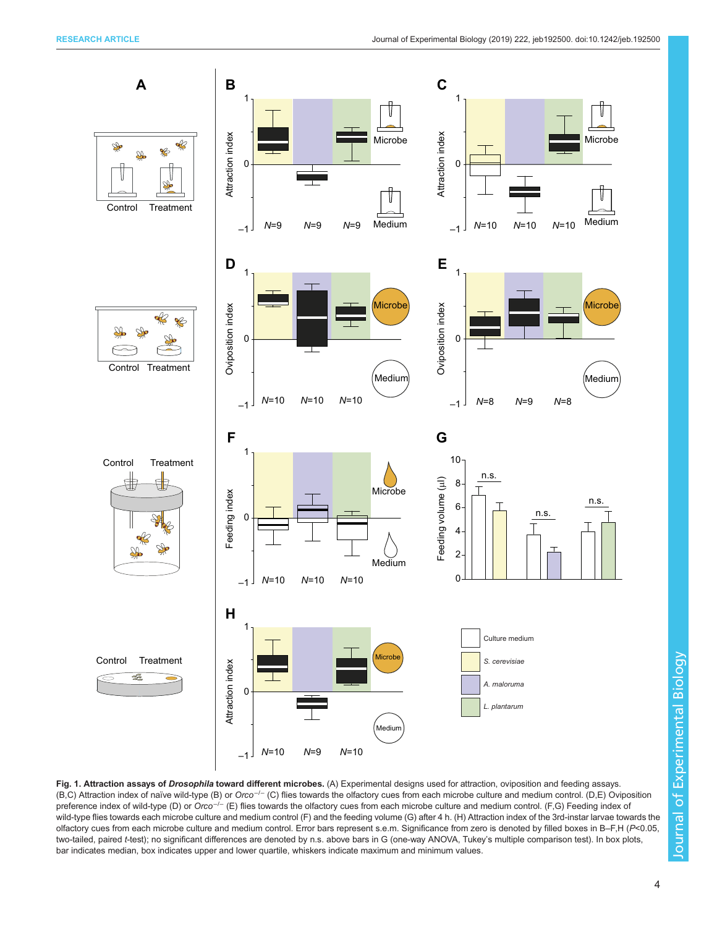<span id="page-3-0"></span>

Fig. 1. Attraction assays of Drosophila toward different microbes. (A) Experimental designs used for attraction, oviposition and feeding assays. (B,C) Attraction index of naïve wild-type (B) or Orco−/<sup>−</sup> (C) flies towards the olfactory cues from each microbe culture and medium control. (D,E) Oviposition preference index of wild-type (D) or Orco<sup>-/−</sup> (E) flies towards the olfactory cues from each microbe culture and medium control. (F,G) Feeding index of wild-type flies towards each microbe culture and medium control (F) and the feeding volume (G) after 4 h. (H) Attraction index of the 3rd-instar larvae towards the olfactory cues from each microbe culture and medium control. Error bars represent s.e.m. Significance from zero is denoted by filled boxes in B-F,H (P<0.05, two-tailed, paired t-test); no significant differences are denoted by n.s. above bars in G (one-way ANOVA, Tukey's multiple comparison test). In box plots, bar indicates median, box indicates upper and lower quartile, whiskers indicate maximum and minimum values.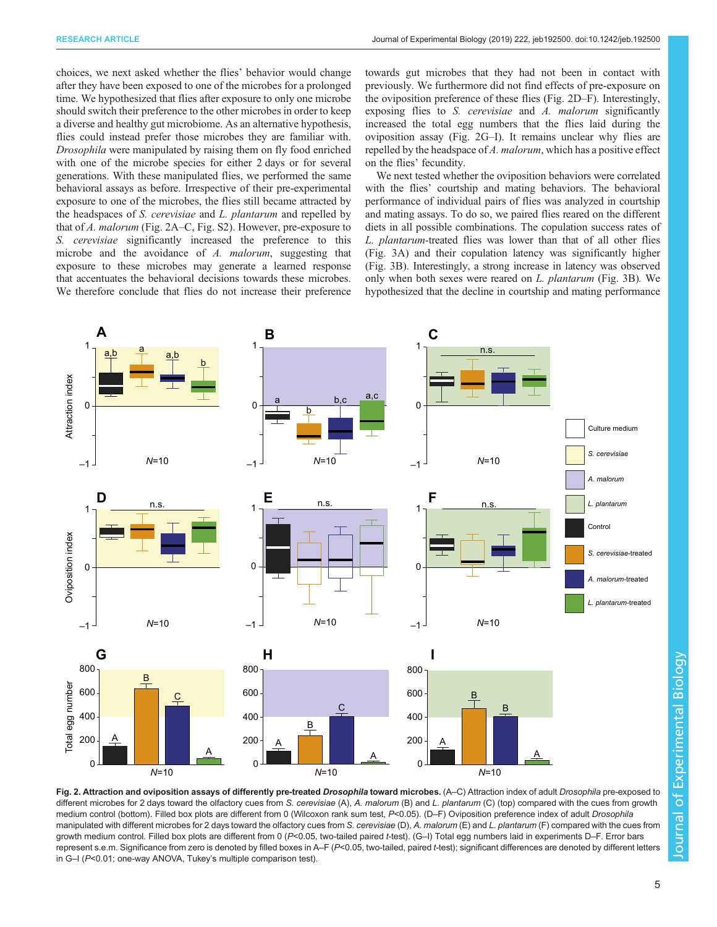<span id="page-4-0"></span>choices, we next asked whether the flies' behavior would change after they have been exposed to one of the microbes for a prolonged time. We hypothesized that flies after exposure to only one microbe should switch their preference to the other microbes in order to keep a diverse and healthy gut microbiome. As an alternative hypothesis, flies could instead prefer those microbes they are familiar with. Drosophila were manipulated by raising them on fly food enriched with one of the microbe species for either 2 days or for several generations. With these manipulated flies, we performed the same behavioral assays as before. Irrespective of their pre-experimental exposure to one of the microbes, the flies still became attracted by the headspaces of S. cerevisiae and L. plantarum and repelled by that of A. malorum (Fig. 2A–C, [Fig. S2\)](http://jeb.biologists.org/lookup/doi/10.1242/jeb.192500.supplemental). However, pre-exposure to S. cerevisiae significantly increased the preference to this microbe and the avoidance of A. malorum, suggesting that exposure to these microbes may generate a learned response that accentuates the behavioral decisions towards these microbes. We therefore conclude that flies do not increase their preference towards gut microbes that they had not been in contact with previously. We furthermore did not find effects of pre-exposure on the oviposition preference of these flies (Fig. 2D–F). Interestingly, exposing flies to S. cerevisiae and A. malorum significantly increased the total egg numbers that the flies laid during the oviposition assay (Fig. 2G–I). It remains unclear why flies are repelled by the headspace of A. malorum, which has a positive effect on the flies' fecundity.

We next tested whether the oviposition behaviors were correlated with the flies' courtship and mating behaviors. The behavioral performance of individual pairs of flies was analyzed in courtship and mating assays. To do so, we paired flies reared on the different diets in all possible combinations. The copulation success rates of L. plantarum-treated flies was lower than that of all other flies [\(Fig. 3](#page-5-0)A) and their copulation latency was significantly higher [\(Fig. 3B](#page-5-0)). Interestingly, a strong increase in latency was observed only when both sexes were reared on L. plantarum ([Fig. 3B](#page-5-0)). We hypothesized that the decline in courtship and mating performance



Fig. 2. Attraction and oviposition assays of differently pre-treated Drosophila toward microbes. (A–C) Attraction index of adult Drosophila pre-exposed to different microbes for 2 days toward the olfactory cues from S. cerevisiae (A), A. malorum (B) and L. plantarum (C) (top) compared with the cues from growth medium control (bottom). Filled box plots are different from 0 (Wilcoxon rank sum test, P<0.05). (D-F) Oviposition preference index of adult Drosophila manipulated with different microbes for 2 days toward the olfactory cues from S. cerevisiae (D), A. malorum (E) and L. plantarum (F) compared with the cues from growth medium control. Filled box plots are different from 0 (P<0.05, two-tailed paired t-test). (G-I) Total egg numbers laid in experiments D–F. Error bars represent s.e.m. Significance from zero is denoted by filled boxes in A–F (P<0.05, two-tailed, paired t-test); significant differences are denoted by different letters in G–I (P<0.01; one-way ANOVA, Tukey's multiple comparison test).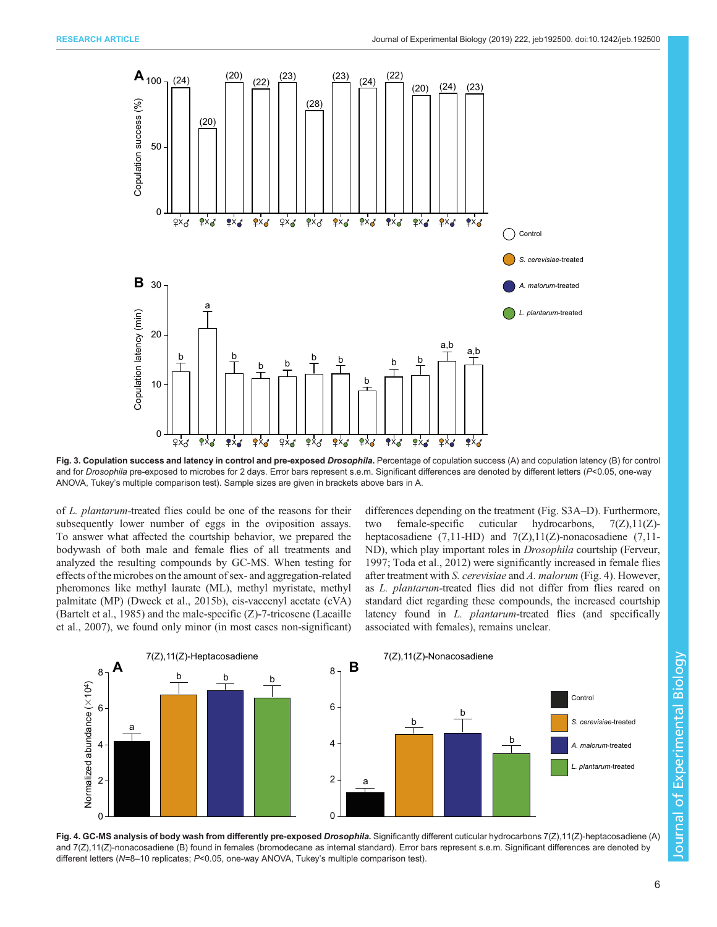<span id="page-5-0"></span>

Fig. 3. Copulation success and latency in control and pre-exposed Drosophila. Percentage of copulation success (A) and copulation latency (B) for control and for Drosophila pre-exposed to microbes for 2 days. Error bars represent s.e.m. Significant differences are denoted by different letters (P<0.05, one-way ANOVA, Tukey's multiple comparison test). Sample sizes are given in brackets above bars in A.

of L. plantarum-treated flies could be one of the reasons for their subsequently lower number of eggs in the oviposition assays. To answer what affected the courtship behavior, we prepared the bodywash of both male and female flies of all treatments and analyzed the resulting compounds by GC-MS. When testing for effects of the microbes on the amount of sex- and aggregation-related pheromones like methyl laurate (ML), methyl myristate, methyl palmitate (MP) ([Dweck et al., 2015b\)](#page-9-0), cis-vaccenyl acetate (cVA) [\(Bartelt et al., 1985\)](#page-8-0) and the male-specific (Z)-7-tricosene [\(Lacaille](#page-9-0) [et al., 2007\)](#page-9-0), we found only minor (in most cases non-significant)

differences depending on the treatment [\(Fig. S3A](http://jeb.biologists.org/lookup/doi/10.1242/jeb.192500.supplemental)–D). Furthermore, two female-specific cuticular hydrocarbons, 7(Z),11(Z) heptacosadiene  $(7,11-HD)$  and  $7(Z),11(Z)$ -nonacosadiene  $(7,11$ -ND), which play important roles in Drosophila courtship ([Ferveur,](#page-9-0) [1997; Toda et al., 2012\)](#page-9-0) were significantly increased in female flies after treatment with S. cerevisiae and A. malorum (Fig. 4). However, as L. plantarum-treated flies did not differ from flies reared on standard diet regarding these compounds, the increased courtship latency found in *L. plantarum*-treated flies (and specifically associated with females), remains unclear.



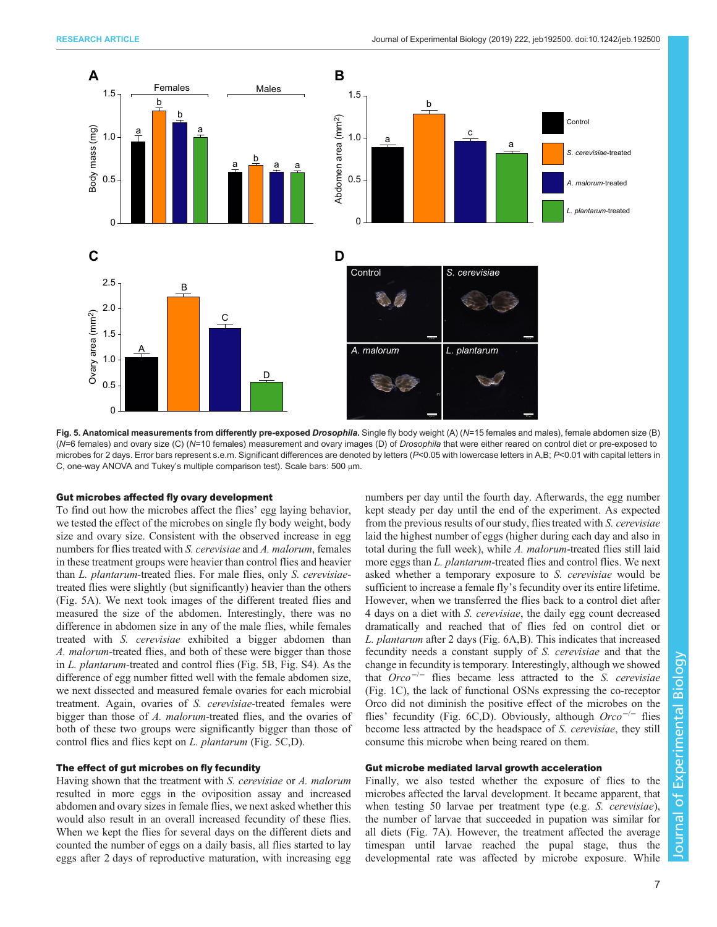

Fig. 5. Anatomical measurements from differently pre-exposed Drosophila. Single fly body weight (A) (N=15 females and males), female abdomen size (B) (N=6 females) and ovary size (C) (N=10 females) measurement and ovary images (D) of Drosophila that were either reared on control diet or pre-exposed to microbes for 2 days. Error bars represent s.e.m. Significant differences are denoted by letters (P<0.05 with lowercase letters in A,B; P<0.01 with capital letters in C, one-way ANOVA and Tukey's multiple comparison test). Scale bars: 500 μm.

#### Gut microbes affected fly ovary development

To find out how the microbes affect the flies' egg laying behavior, we tested the effect of the microbes on single fly body weight, body size and ovary size. Consistent with the observed increase in egg numbers for flies treated with *S. cerevisiae* and *A. malorum*, females in these treatment groups were heavier than control flies and heavier than L. plantarum-treated flies. For male flies, only S. cerevisiaetreated flies were slightly (but significantly) heavier than the others (Fig. 5A). We next took images of the different treated flies and measured the size of the abdomen. Interestingly, there was no difference in abdomen size in any of the male flies, while females treated with S. cerevisiae exhibited a bigger abdomen than A. malorum-treated flies, and both of these were bigger than those in L. plantarum-treated and control flies (Fig. 5B, [Fig. S4](http://jeb.biologists.org/lookup/doi/10.1242/jeb.192500.supplemental)). As the difference of egg number fitted well with the female abdomen size, we next dissected and measured female ovaries for each microbial treatment. Again, ovaries of S. cerevisiae-treated females were bigger than those of A. malorum-treated flies, and the ovaries of both of these two groups were significantly bigger than those of control flies and flies kept on L. plantarum (Fig. 5C,D).

## The effect of gut microbes on fly fecundity

Having shown that the treatment with S. cerevisiae or A. malorum resulted in more eggs in the oviposition assay and increased abdomen and ovary sizes in female flies, we next asked whether this would also result in an overall increased fecundity of these flies. When we kept the flies for several days on the different diets and counted the number of eggs on a daily basis, all flies started to lay eggs after 2 days of reproductive maturation, with increasing egg numbers per day until the fourth day. Afterwards, the egg number kept steady per day until the end of the experiment. As expected from the previous results of our study, flies treated with S. cerevisiae laid the highest number of eggs (higher during each day and also in total during the full week), while A. malorum-treated flies still laid more eggs than *L. plantarum*-treated flies and control flies. We next asked whether a temporary exposure to S. cerevisiae would be sufficient to increase a female fly's fecundity over its entire lifetime. However, when we transferred the flies back to a control diet after 4 days on a diet with S. cerevisiae, the daily egg count decreased dramatically and reached that of flies fed on control diet or L. plantarum after 2 days ([Fig. 6A](#page-7-0),B). This indicates that increased fecundity needs a constant supply of S. cerevisiae and that the change in fecundity is temporary. Interestingly, although we showed that  $Orco^{-/-}$  flies became less attracted to the S. cerevisiae [\(Fig. 1C](#page-3-0)), the lack of functional OSNs expressing the co-receptor Orco did not diminish the positive effect of the microbes on the flies' fecundity ([Fig. 6C](#page-7-0),D). Obviously, although  $Orco^{-/-}$  flies become less attracted by the headspace of S. cerevisiae, they still consume this microbe when being reared on them.

## Gut microbe mediated larval growth acceleration

Finally, we also tested whether the exposure of flies to the microbes affected the larval development. It became apparent, that when testing 50 larvae per treatment type (e.g. S. cerevisiae), the number of larvae that succeeded in pupation was similar for all diets [\(Fig. 7](#page-7-0)A). However, the treatment affected the average timespan until larvae reached the pupal stage, thus the developmental rate was affected by microbe exposure. While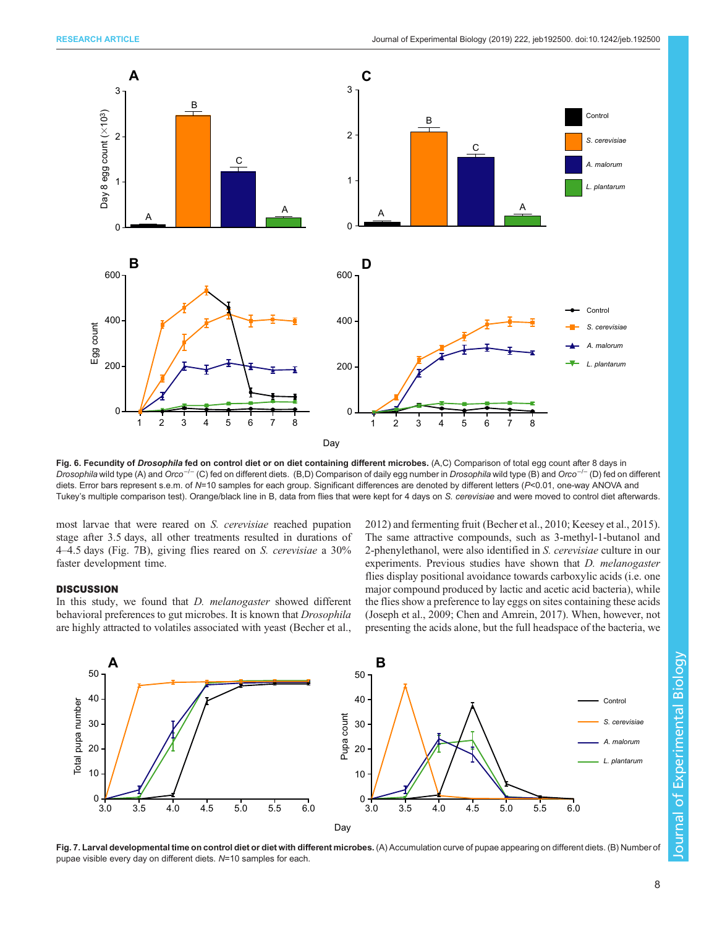<span id="page-7-0"></span>

Fig. 6. Fecundity of Drosophila fed on control diet or on diet containing different microbes. (A,C) Comparison of total egg count after 8 days in Drosophila wild type (A) and Orco<sup>-/−</sup> (C) fed on different diets. (B,D) Comparison of daily egg number in Drosophila wild type (B) and Orco<sup>-/-</sup> (D) fed on different diets. Error bars represent s.e.m. of N=10 samples for each group. Significant differences are denoted by different letters (P<0.01, one-way ANOVA and Tukey's multiple comparison test). Orange/black line in B, data from flies that were kept for 4 days on S. cerevisiae and were moved to control diet afterwards.

most larvae that were reared on S. cerevisiae reached pupation stage after 3.5 days, all other treatments resulted in durations of <sup>4</sup>–4.5 days (Fig. 7B), giving flies reared on S. cerevisiae a 30% faster development time.

#### **DISCUSSION**

In this study, we found that *D. melanogaster* showed different behavioral preferences to gut microbes. It is known that Drosophila are highly attracted to volatiles associated with yeast [\(Becher et al.,](#page-8-0)

[2012\)](#page-8-0) and fermenting fruit ([Becher et al., 2010](#page-8-0); [Keesey et al., 2015\)](#page-9-0). The same attractive compounds, such as 3-methyl-1-butanol and 2-phenylethanol, were also identified in S. cerevisiae culture in our experiments. Previous studies have shown that D. melanogaster flies display positional avoidance towards carboxylic acids (i.e. one major compound produced by lactic and acetic acid bacteria), while the flies show a preference to lay eggs on sites containing these acids [\(Joseph et al., 2009;](#page-9-0) [Chen and Amrein, 2017](#page-8-0)). When, however, not presenting the acids alone, but the full headspace of the bacteria, we



Fig. 7. Larval developmental time on control diet or diet with different microbes. (A) Accumulation curve of pupae appearing on different diets. (B) Number of pupae visible every day on different diets. N=10 samples for each.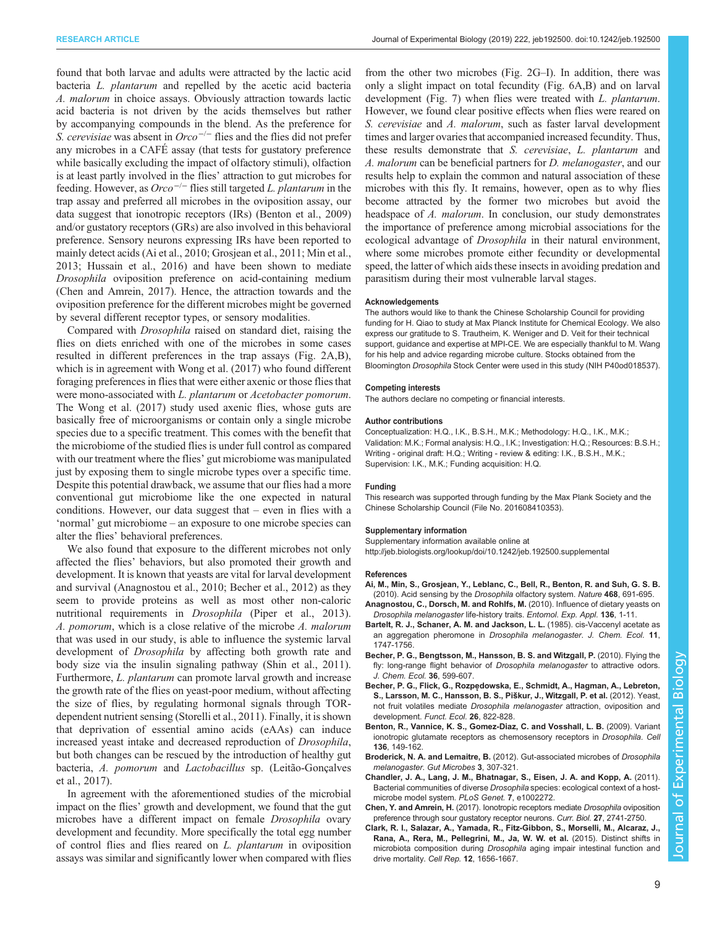<span id="page-8-0"></span>found that both larvae and adults were attracted by the lactic acid bacteria L. plantarum and repelled by the acetic acid bacteria A. malorum in choice assays. Obviously attraction towards lactic acid bacteria is not driven by the acids themselves but rather by accompanying compounds in the blend. As the preference for S. cerevisiae was absent in  $Orco^{-/-}$  flies and the flies did not prefer any microbes in a CAFÉ assay (that tests for gustatory preference while basically excluding the impact of olfactory stimuli), olfaction is at least partly involved in the flies' attraction to gut microbes for feeding. However, as  $Orco^{-/-}$  flies still targeted L. plantarum in the trap assay and preferred all microbes in the oviposition assay, our data suggest that ionotropic receptors (IRs) (Benton et al., 2009) and/or gustatory receptors (GRs) are also involved in this behavioral preference. Sensory neurons expressing IRs have been reported to mainly detect acids (Ai et al., 2010; [Grosjean et al., 2011; Min et al.,](#page-9-0) [2013](#page-9-0); [Hussain et al., 2016\)](#page-9-0) and have been shown to mediate Drosophila oviposition preference on acid-containing medium (Chen and Amrein, 2017). Hence, the attraction towards and the oviposition preference for the different microbes might be governed by several different receptor types, or sensory modalities.

Compared with Drosophila raised on standard diet, raising the flies on diets enriched with one of the microbes in some cases resulted in different preferences in the trap assays ([Fig. 2A](#page-4-0),B), which is in agreement with [Wong et al. \(2017\)](#page-9-0) who found different foraging preferences in flies that were either axenic or those flies that were mono-associated with *L. plantarum* or *Acetobacter pomorum*. The [Wong et al. \(2017\)](#page-9-0) study used axenic flies, whose guts are basically free of microorganisms or contain only a single microbe species due to a specific treatment. This comes with the benefit that the microbiome of the studied flies is under full control as compared with our treatment where the flies' gut microbiome was manipulated just by exposing them to single microbe types over a specific time. Despite this potential drawback, we assume that our flies had a more conventional gut microbiome like the one expected in natural conditions. However, our data suggest that – even in flies with a 'normal' gut microbiome – an exposure to one microbe species can alter the flies' behavioral preferences.

We also found that exposure to the different microbes not only affected the flies' behaviors, but also promoted their growth and development. It is known that yeasts are vital for larval development and survival (Anagnostou et al., 2010; Becher et al., 2012) as they seem to provide proteins as well as most other non-caloric nutritional requirements in Drosophila ([Piper et al., 2013\)](#page-9-0). A. pomorum, which is a close relative of the microbe A. malorum that was used in our study, is able to influence the systemic larval development of Drosophila by affecting both growth rate and body size via the insulin signaling pathway ([Shin et al., 2011\)](#page-9-0). Furthermore, L. plantarum can promote larval growth and increase the growth rate of the flies on yeast-poor medium, without affecting the size of flies, by regulating hormonal signals through TORdependent nutrient sensing ([Storelli et al., 2011\)](#page-9-0). Finally, it is shown that deprivation of essential amino acids (eAAs) can induce increased yeast intake and decreased reproduction of Drosophila, but both changes can be rescued by the introduction of healthy gut bacteria, A. pomorum and Lactobacillus sp. [\(Leitão-Gonçalves](#page-9-0) [et al., 2017\)](#page-9-0).

In agreement with the aforementioned studies of the microbial impact on the flies' growth and development, we found that the gut microbes have a different impact on female Drosophila ovary development and fecundity. More specifically the total egg number of control flies and flies reared on L. plantarum in oviposition assays was similar and significantly lower when compared with flies

from the other two microbes [\(Fig. 2G](#page-4-0)–I). In addition, there was only a slight impact on total fecundity ([Fig. 6A](#page-7-0),B) and on larval development [\(Fig. 7\)](#page-7-0) when flies were treated with L. *plantarum*. However, we found clear positive effects when flies were reared on S. cerevisiae and A. malorum, such as faster larval development times and larger ovaries that accompanied increased fecundity. Thus, these results demonstrate that S. cerevisiae, L. plantarum and A. malorum can be beneficial partners for D. melanogaster, and our results help to explain the common and natural association of these microbes with this fly. It remains, however, open as to why flies become attracted by the former two microbes but avoid the headspace of A. malorum. In conclusion, our study demonstrates the importance of preference among microbial associations for the ecological advantage of *Drosophila* in their natural environment, where some microbes promote either fecundity or developmental speed, the latter of which aids these insects in avoiding predation and parasitism during their most vulnerable larval stages.

#### Acknowledgements

The authors would like to thank the Chinese Scholarship Council for providing funding for H. Qiao to study at Max Planck Institute for Chemical Ecology. We also express our gratitude to S. Trautheim, K. Weniger and D. Veit for their technical support, guidance and expertise at MPI-CE. We are especially thankful to M. Wang for his help and advice regarding microbe culture. Stocks obtained from the Bloomington Drosophila Stock Center were used in this study (NIH P40od018537).

#### Competing interests

The authors declare no competing or financial interests.

#### Author contributions

Conceptualization: H.Q., I.K., B.S.H., M.K.; Methodology: H.Q., I.K., M.K.; Validation: M.K.; Formal analysis: H.Q., I.K.; Investigation: H.Q.; Resources: B.S.H.; Writing - original draft: H.Q.; Writing - review & editing: I.K., B.S.H., M.K.; Supervision: I.K., M.K.; Funding acquisition: H.Q.

#### Funding

This research was supported through funding by the Max Plank Society and the Chinese Scholarship Council (File No. 201608410353).

#### Supplementary information

Supplementary information available online at <http://jeb.biologists.org/lookup/doi/10.1242/jeb.192500.supplemental>

#### References

- [Ai, M., Min, S., Grosjean, Y., Leblanc, C., Bell, R., Benton, R. and Suh, G. S. B.](https://doi.org/10.1038/nature09537) [\(2010\). Acid sensing by the](https://doi.org/10.1038/nature09537) Drosophila olfactory system. Nature 468, 691-695.
- [Anagnostou, C., Dorsch, M. and Rohlfs, M.](https://doi.org/10.1111/j.1570-7458.2010.00997.x) (2010). Influence of dietary yeasts on [Drosophila melanogaster](https://doi.org/10.1111/j.1570-7458.2010.00997.x) life-history traits. Entomol. Exp. Appl. 136, 1-11.
- [Bartelt, R. J., Schaner, A. M. and Jackson, L. L.](https://doi.org/10.1007/BF01012124) (1985). cis-Vaccenyl acetate as [an aggregation pheromone in](https://doi.org/10.1007/BF01012124) Drosophila melanogaster. J. Chem. Ecol. 11, [1747-1756.](https://doi.org/10.1007/BF01012124)
- [Becher, P. G., Bengtsson, M., Hansson, B. S. and Witzgall, P.](https://doi.org/10.1007/s10886-010-9794-2) (2010). Flying the [fly: long-range flight behavior of](https://doi.org/10.1007/s10886-010-9794-2) Drosophila melanogaster to attractive odors. [J. Chem. Ecol.](https://doi.org/10.1007/s10886-010-9794-2) 36, 599-607.
- Becher, P. G., Flick, G., Rozpe[dowska, E., Schmidt, A., Hagman, A., Lebreton,](https://doi.org/10.1111/j.1365-2435.2012.02006.x) [S., Larsson, M. C., Hansson, B. S., Pis](https://doi.org/10.1111/j.1365-2435.2012.02006.x)̌kur, J., Witzgall, P. et al. (2012). Yeast, not fruit volatiles mediate Drosophila melanogaster [attraction, oviposition and](https://doi.org/10.1111/j.1365-2435.2012.02006.x) [development.](https://doi.org/10.1111/j.1365-2435.2012.02006.x) Funct. Ecol. 26, 822-828.
- [Benton, R., Vannice, K. S., Gomez-Diaz, C. and Vosshall, L. B.](https://doi.org/10.1016/j.cell.2008.12.001) (2009). Variant [ionotropic glutamate receptors as chemosensory receptors in](https://doi.org/10.1016/j.cell.2008.12.001) Drosophila. Cell 136[, 149-162.](https://doi.org/10.1016/j.cell.2008.12.001)
- Broderick, N. A. and Lemaitre, B. [\(2012\). Gut-associated microbes of](https://doi.org/10.4161/gmic.19896) Drosophila [melanogaster](https://doi.org/10.4161/gmic.19896). Gut Microbes 3, 307-321.
- [Chandler, J. A., Lang, J. M., Bhatnagar, S., Eisen, J. A. and Kopp, A.](https://doi.org/10.1371/journal.pgen.1002272) (2011). Bacterial communities of diverse Drosophila [species: ecological context of a host](https://doi.org/10.1371/journal.pgen.1002272)[microbe model system.](https://doi.org/10.1371/journal.pgen.1002272) PLoS Genet. 7, e1002272.
- Chen, Y. and Amrein, H. [\(2017\). Ionotropic receptors mediate](https://doi.org/10.1016/j.cub.2017.08.003) Drosophila oviposition [preference through sour gustatory receptor neurons.](https://doi.org/10.1016/j.cub.2017.08.003) Curr. Biol. 27, 2741-2750.
- [Clark, R. I., Salazar, A., Yamada, R., Fitz-Gibbon, S., Morselli, M., Alcaraz, J.,](https://doi.org/10.1016/j.celrep.2015.08.004) [Rana, A., Rera, M., Pellegrini, M., Ja, W. W. et al.](https://doi.org/10.1016/j.celrep.2015.08.004) (2015). Distinct shifts in microbiota composition during Drosophila [aging impair intestinal function and](https://doi.org/10.1016/j.celrep.2015.08.004) [drive mortality.](https://doi.org/10.1016/j.celrep.2015.08.004) Cell Rep. 12, 1656-1667.